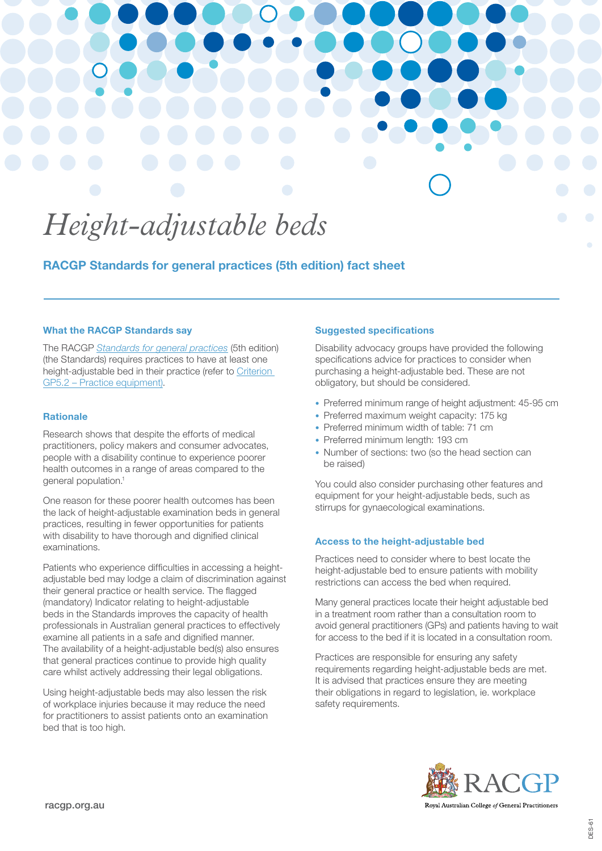# *Height-adjustable beds*

RACGP Standards for general practices (5th edition) fact sheet

### What the RACGP Standards say

The RACGP *[Standards for general practices](https://www.racgp.org.au/running-a-practice/practice-standards/standards-5th-edition/standards-for-general-practices-5th-ed)* (5th edition) (the Standards) requires practices to have at least one height-adjustable bed in their practice (refer to [Criterion](https://www.racgp.org.au/FSDEDEV/media/documents/Running%20a%20practice/Practice%20standards/5th%20edition/Standards-for-general-practice-5th-edition.pdf#page=162)  [GP5.2 – Practice equipment\)](https://www.racgp.org.au/FSDEDEV/media/documents/Running%20a%20practice/Practice%20standards/5th%20edition/Standards-for-general-practice-5th-edition.pdf#page=162).

### Rationale

Research shows that despite the efforts of medical practitioners, policy makers and consumer advocates, people with a disability continue to experience poorer health outcomes in a range of areas compared to the general population.1

One reason for these poorer health outcomes has been the lack of height-adjustable examination beds in general practices, resulting in fewer opportunities for patients with disability to have thorough and dignified clinical examinations.

Patients who experience difficulties in accessing a heightadjustable bed may lodge a claim of discrimination against their general practice or health service. The flagged (mandatory) Indicator relating to height-adjustable beds in the Standards improves the capacity of health professionals in Australian general practices to effectively examine all patients in a safe and dignified manner. The availability of a height-adjustable bed(s) also ensures that general practices continue to provide high quality care whilst actively addressing their legal obligations.

Using height-adjustable beds may also lessen the risk of workplace injuries because it may reduce the need for practitioners to assist patients onto an examination bed that is too high.

## Suggested specifications

Disability advocacy groups have provided the following specifications advice for practices to consider when purchasing a height-adjustable bed. These are not obligatory, but should be considered.

- Preferred minimum range of height adjustment: 45-95 cm
- Preferred maximum weight capacity: 175 kg
- Preferred minimum width of table: 71 cm
- Preferred minimum length: 193 cm
- Number of sections: two (so the head section can be raised)

You could also consider purchasing other features and equipment for your height-adjustable beds, such as stirrups for gynaecological examinations.

## Access to the height-adjustable bed

Practices need to consider where to best locate the height-adjustable bed to ensure patients with mobility restrictions can access the bed when required.

Many general practices locate their height adjustable bed in a treatment room rather than a consultation room to avoid general practitioners (GPs) and patients having to wait for access to the bed if it is located in a consultation room.

Practices are responsible for ensuring any safety requirements regarding height-adjustable beds are met. It is advised that practices ensure they are meeting their obligations in regard to legislation, ie. workplace safety requirements.